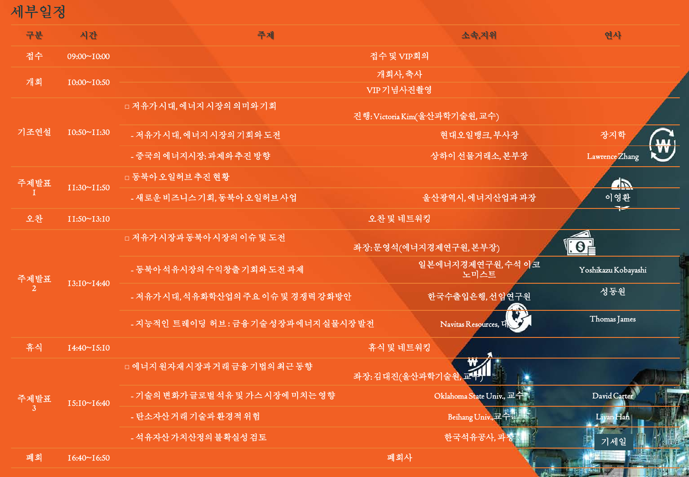세부일정

| 구분   | 시간                 | 주제                                                       | 소속,지위                     | 연사                             |  |
|------|--------------------|----------------------------------------------------------|---------------------------|--------------------------------|--|
| 접수   | 09:00~10:00        | 접수 및 VIP회의                                               |                           |                                |  |
| 개회   | 10:00~10:50        | 개회사, 축사<br>VIP기념사진촬영                                     |                           |                                |  |
| 기조연설 | $10:50 \sim 11:30$ | □ 저유가시대, 에너지 시장의 의미와 기회<br>진행: Victoria Kim(울산과학기술원, 교수) |                           |                                |  |
|      |                    | - 저유가시대, 에너지 시장의 기회와 도전                                  | 현대오일뱅크, 부사장               | 장지학<br>$\mathbf{m}$            |  |
|      |                    | - 중국의 에너지시장: 과제와 추진 방향                                   | 상하이 선물거래소, 본부장            | $\mathbf{v}$<br>Lawrence Zhang |  |
| 주제발표 | 11:30~11:50        | □ 동북아 오일허브 추진 현황                                         |                           | <u>an</u>                      |  |
|      |                    | - 새로운 비즈니스 기회, 동북아 오일허브 사업                               | 울산광역시, 에너지산업과 과장          | 이영환                            |  |
| 오찬   | 11:50~13:10        | 오찬 및 네트워킹                                                |                           |                                |  |
| 주제발표 | 13:10~14:40        | □ 저유가 시장과 동북아 시장의 이슈 및 도전                                | 좌장: 문영석(에너지경제연구원, 본부장)    | $\Theta$ $\neq$                |  |
|      |                    | - 동북아석유시장의 수익창출 기회와 도전 과제                                | 일본에너지경제연구원, 수석 이코<br>노미스트 | Yoshikazu Kobayashi            |  |
|      |                    | - 저유가시대, 석유화학산업의 주요 이슈 및 경쟁력 강화방안                        | 한국수출입은행,선임연구원             | 성동원                            |  |
|      |                    | - 지능적인 트레이딩 허브: 금융기술성장과에너지실물시장발전                         | Navitas Resources, L      | Thomas James                   |  |
| 휴식   | 14:40~15:10        | 휴식 및 네트워킹                                                |                           |                                |  |
| 주제발표 | 15:10~16:40        | □ 에너지 원자재 시장과 거래 금융 기법의 최근 동향<br>좌장:김대진(울산과학기술           |                           |                                |  |
|      |                    | - 기술의 변화가 글로벌 석유 및 가스 시장에 미치는 영향                         | Oklahoma State Univ., 교수  | David Carter                   |  |
|      |                    | - 탄소자산거래기술과환경적위험                                         | Beihang Univ., 교수         | Liyan Han                      |  |
|      |                    | - 석유자산 가치산정의 불확실성 검토                                     | 한국석유공사, 교                 | 기세일                            |  |
| 폐회   | $16:40 \sim 16:50$ | 폐회사                                                      |                           |                                |  |